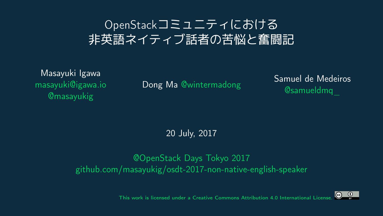## OpenStackコミュニティにおける 主英語ネイティブ話者の苦悩と奮闘記

Masayuki Igawa [masayuki@igawa.io](mailto:masayuki@igawa.io) [@masayukig](https://twitter.com/masayukig)

Dong Ma [@wintermadong](https://twitter.com/wintermadong) Samuel de Medeiros [@samueldmq\\_](https://twitter.com/samueldmq_)

20 July, 2017

[@OpenStack Days Tokyo 2017](http://openstackdays.com/) [github.com/masayukig/osdt-2017-non-native-english-speaker](https://github.com/masayukig/osdt-2017-non-native-english-speaker)

> $\circ$  $\odot$

[This work is licensed under a Creative Commons Attribution 4.0 International License.](https://creativecommons.org/licenses/by/4.0/)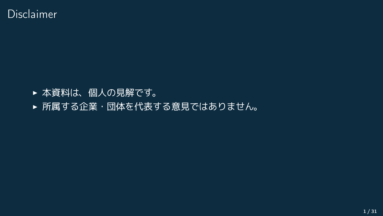- ▶ 本資料は、個人の見解です。
- ▶ 所属する企業・団体を代表する意見ではありません。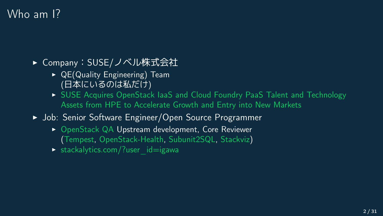## Who am 1?

- ▶ Company: SUSE/ノベル株式会社
	- $\triangleright$  QE(Quality Engineering) Team (日本にいるのは私だけ)
	- I [SUSE Acquires OpenStack IaaS and Cloud Foundry PaaS Talent and Technology](https://www.suse.com/newsroom/post/2016/suse-acquires-openstack-iaas-and-cloud-foundry-paas-talent-and-technology-assets-from-hpe-to-accelerate-growth-and-entry-into-new-markets/) [Assets from HPE to Accelerate Growth and Entry into New Markets](https://www.suse.com/newsroom/post/2016/suse-acquires-openstack-iaas-and-cloud-foundry-paas-talent-and-technology-assets-from-hpe-to-accelerate-growth-and-entry-into-new-markets/)
- ▶ Job: Senior Software Engineer/Open Source Programmer
	- ▶ [OpenStack](https://www.openstack.org/) [QA](https://wiki.openstack.org/wiki/QA) Upstream development, Core Reviewer [\(Tempest,](https://docs.openstack.org/developer/tempest/) [OpenStack-Health,](http://status.openstack.org/openstack-health/) [Subunit2SQL,](https://docs.openstack.org/developer/subunit2sql/) [Stackviz\)](https://docs.openstack.org/developer/stackviz/)
	- $\triangleright$  [stackalytics.com/?user\\_id=igawa](http://stackalytics.com/?user_id=igawa&release=all&metric=all)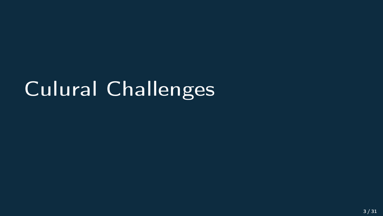# Culural Challenges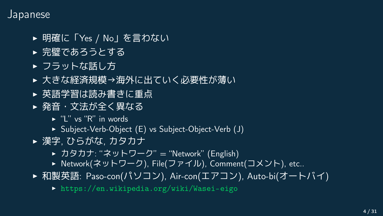#### Japanese

- ▶ 明確に「Yes / No | を言わない
- ▶ 完壁であろうとする
- ▶ フラットな話し方
- ▶ 大きな経済規模→海外に出ていく必要性が薄い
- ▶ 英語学習は読み書きに重点
- ▶ 発音・文法が全く異なる
	- $\blacktriangleright$  "I" vs "R" in words
	- ▶ Subject-Verb-Object (E) vs Subject-Object-Verb (J)
- ▶ 漢字, ひらがな, カタカナ
	- ▶ カタカナ: "ネットワーク" = "Network" (English)
	- ▶ Network(ネットワーク), File(ファイル), Comment(コメント), etc..
- ▶ 和製英語: Paso-con(パソコン), Air-con(エアコン), Auto-bi(オートバイ)
	- $\triangleright$  <https://en.wikipedia.org/wiki/Wasei-eigo>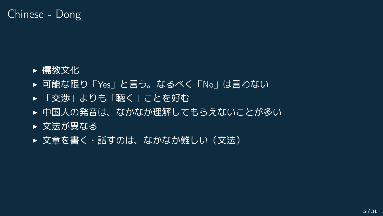### Chinese - Dong

- ▶ 儒教文化
- ▶ 可能な限り「Yes」と言う。なるべく「No」は言わない
- ▶ 「交渉」よりも「聴く」ことを好む
- ▶ 中国人の発音は、なかなか理解してもらえないことが多い
- ▶ 文法が異なる
- ▶ 文章を書く・話すのは、なかなか難しい(文法)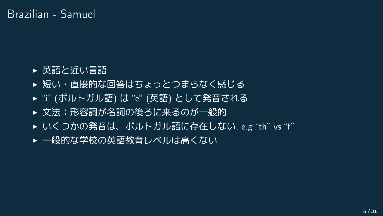### Brazilian - Samuel

- ▶ 英語と近い言語
- ▶ 短い・直接的な回答はちょっとつまらなく感じる
- ▶ "i" (ポルトガル語) は "e" (英語) として発音される
- ▶ 文法:形容詞が名詞の後ろに来るのが一般的
- ▶ いくつかの発音は、ポルトガル語に存在しない, e.g "th" vs "f"
- ▶ 一般的な学校の英語教育レベルは高くない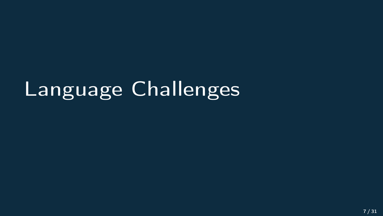# Language Challenges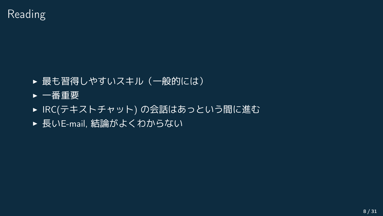- ▶ 最も習得しやすいスキル (一般的には)
- ▶ 一番重要
- ▶ IRC(テキストチャット) の会話はあっという間に進む
- ▶ 長いE-mail, 結論がよくわからない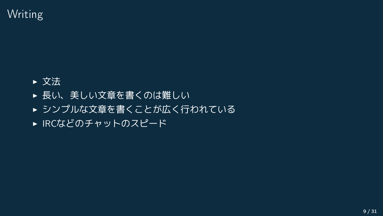## Writing

- ▶ 文法
- ▶ 長い、美しい文章を書くのは難しい
- ▶ シンプルな文章を書くことが広く行われている
- ▶ IRCなどのチャットのスピード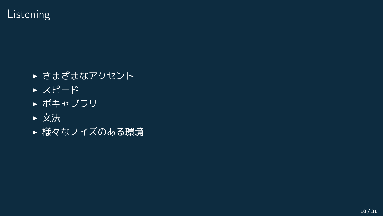Listening

- ▶ さまざまなアクセント
- ▶ スピード
- ▶ ボキャブラリ
- ▶ 文法
- ▶ 様々なノイズのある環境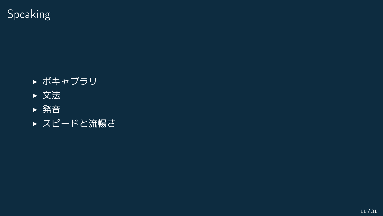Speaking

- ▶ ボキャブラリ
- ▶ 文法
- ▶ 発音
- ▶ スピードと流暢さ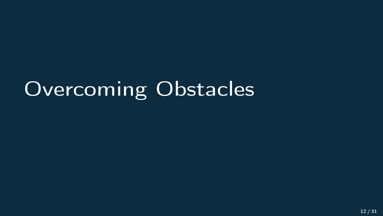# Overcoming Obstacles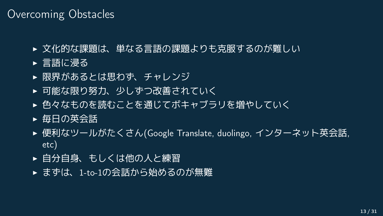### Overcoming Obstacles

- ▶ 文化的な課題は、単なる言語の課題よりも克服するのが難しい
- ▶ 言語に浸る
- ▶ 限界があるとは思わず、チャレンジ
- ▶ 可能な限り努力、少しずつ改善されていく
- ▶ 色々なものを読むことを通じてボキャブラリを増やしていく
- ▶ 毎日の英会話
- ► 便利なツールがたくさん(Google Translate, duolingo, インターネット英会話, etc)
- ▶ 自分自身、もしくは他の人と練習
- ▶ まずは、1-to-1の会話から始めるのが無難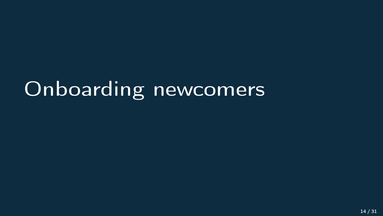# Onboarding newcomers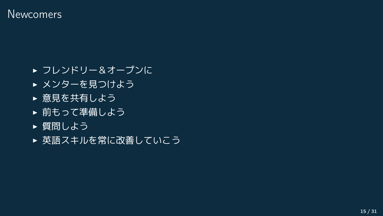#### **Newcomers**

- ▶ フレンドリー&オープンに
- ▶ メンターを見つけよう
- ▶ 意見を共有しよう
- ▶ 前もって準備しよう
- ▶ 質問しよう
- ▶ 英語スキルを常に改善していこう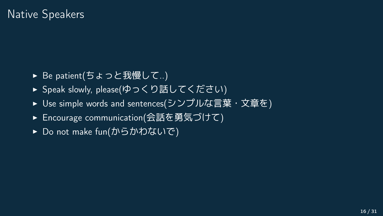### Native Speakers

- ▶ Be patient(ちょっと我慢して..)
- ▶ Speak slowly, please(ゆっくり話してください)
- ▶ Use simple words and sentences(シンプルな言葉・文章を)
- ▶ Encourage communication(会話を勇気づけて)
- ▶ Do not make fun(からかわないで)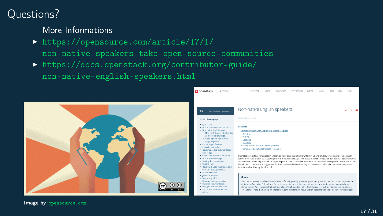## Questions?

#### More Informations

- <sup>I</sup> [https://opensource.com/article/17/1/](https://opensource.com/article/17/1/non-native-speakers-take-open-source-communities) [non-native-speakers-take-open-source-communities](https://opensource.com/article/17/1/non-native-speakers-take-open-source-communities)
- <sup>I</sup> [https://docs.openstack.org/contributor-guide/](https://docs.openstack.org/contributor-guide/non-native-english-speakers.html) [non-native-english-speakers.html](https://docs.openstack.org/contributor-guide/non-native-english-speakers.html)



Image by[:opensource.com]( : opensource.com)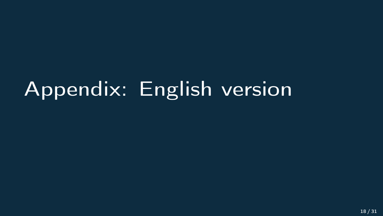# Appendix: English version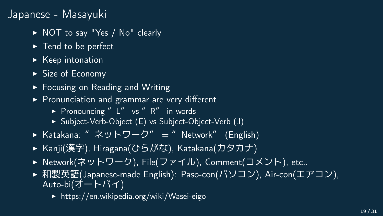### Japanese - Masayuki

- ▶ NOT to say "Yes / No" clearly
- $\blacktriangleright$  Tend to be perfect
- $\blacktriangleright$  Keep intonation
- $\triangleright$  Size of Economy
- $\blacktriangleright$  Focusing on Reading and Writing
- $\triangleright$  Pronunciation and grammar are very different
	- Pronouncing " $L''$  vs " $R''$  in words
	- ▶ Subject-Verb-Object (E) vs Subject-Object-Verb (J)
- ▶ Katakana: " ネットワーク" = " Network" (English)
- ▶ Kanji(漢字), Hiragana(ひらがな), Katakana(カタカナ)
- ▶ Network(ネットワーク), File(ファイル), Comment(コメント), etc..
- ▶ 和製英語(Japanese-made English): Paso-con(パソコン), Air-con(エアコン), Auto-bi(オートバイ)
	- $\blacktriangleright$  https://en.wikipedia.org/wiki/Wasei-eigo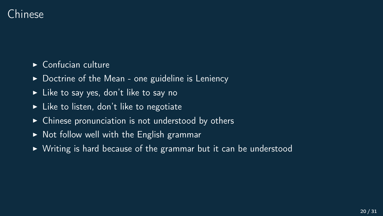

- $\triangleright$  Confucian culture
- $\triangleright$  Doctrine of the Mean one guideline is Leniency
- $\blacktriangleright$  Like to say yes, don't like to say no
- $\blacktriangleright$  Like to listen, don't like to negotiate
- $\triangleright$  Chinese pronunciation is not understood by others
- $\triangleright$  Not follow well with the English grammar
- $\triangleright$  Writing is hard because of the grammar but it can be understood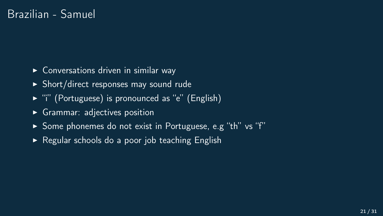- $\triangleright$  Conversations driven in similar way
- $\triangleright$  Short/direct responses may sound rude
- $\triangleright$  "i" (Portuguese) is pronounced as "e" (English)
- $\triangleright$  Grammar: adjectives position
- ▶ Some phonemes do not exist in Portuguese, e.g "th" vs "f"
- $\triangleright$  Regular schools do a poor job teaching English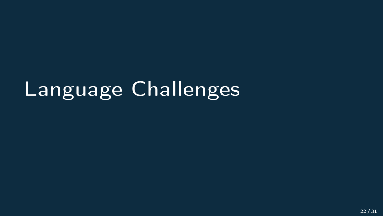# Language Challenges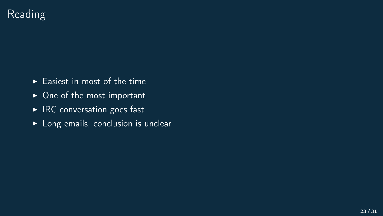## Reading

- $\blacktriangleright$  Easiest in most of the time
- $\triangleright$  One of the most important
- $\blacktriangleright$  IRC conversation goes fast
- $\blacktriangleright$  Long emails, conclusion is unclear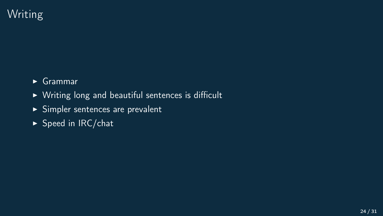## Writing

- $\overline{\phantom{a}}$  Grammar
- $\triangleright$  Writing long and beautiful sentences is difficult
- $\blacktriangleright$  Simpler sentences are prevalent
- $\blacktriangleright$  Speed in IRC/chat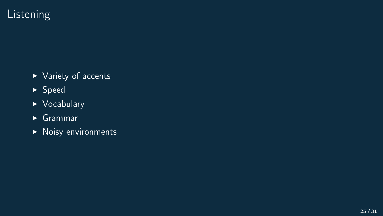## Listening

- $\blacktriangleright$  Variety of accents
- $\blacktriangleright$  Speed
- $\triangleright$  Vocabulary
- $\blacktriangleright$  Grammar
- $\blacktriangleright$  Noisy environments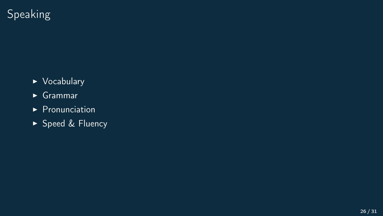## Speaking

- $\triangleright$  Vocabulary
- $\blacktriangleright$  Grammar
- $\blacktriangleright$  Pronunciation
- ▶ Speed & Fluency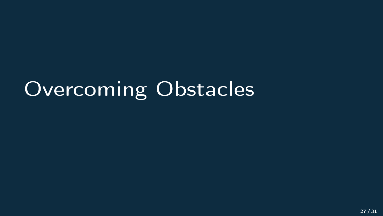# Overcoming Obstacles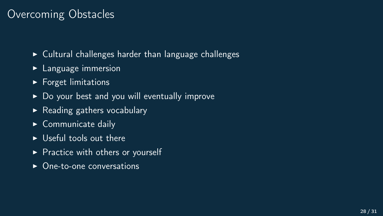### Overcoming Obstacles

- $\triangleright$  Cultural challenges harder than language challenges
- $\blacktriangleright$  Language immersion
- $\blacktriangleright$  Forget limitations
- $\triangleright$  Do your best and you will eventually improve
- $\triangleright$  Reading gathers vocabulary
- $\triangleright$  Communicate daily
- $\triangleright$  Useful tools out there
- $\triangleright$  Practice with others or yourself
- $\rightarrow$  One-to-one conversations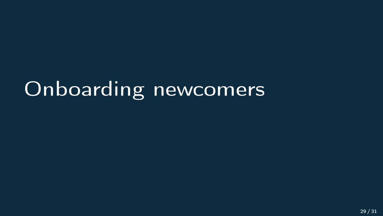# Onboarding newcomers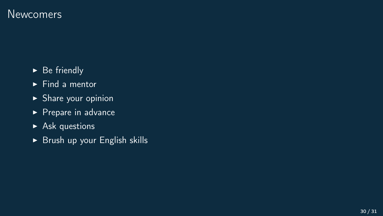#### **Newcomers**

- $\triangleright$  Be friendly
- $\blacktriangleright$  Find a mentor
- $\blacktriangleright$  Share your opinion
- $\triangleright$  Prepare in advance
- $\blacktriangleright$  Ask questions
- $\triangleright$  Brush up your English skills